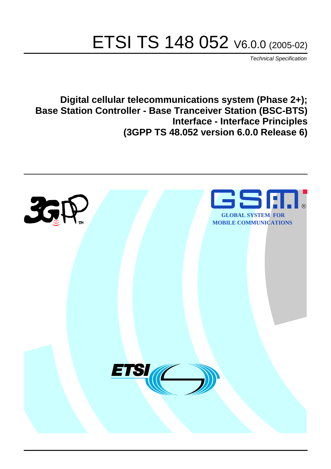# ETSI TS 148 052 V6.0.0 (2005-02)

Technical Specification

**Digital cellular telecommunications system (Phase 2+); Base Station Controller - Base Tranceiver Station (BSC-BTS) Interface - Interface Principles (3GPP TS 48.052 version 6.0.0 Release 6)**

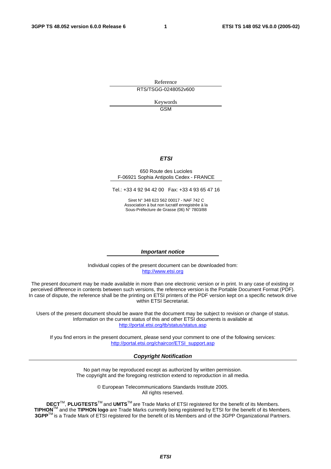Reference RTS/TSGG-0248052v600

> Keywords GSM

#### **ETSI**

#### 650 Route des Lucioles F-06921 Sophia Antipolis Cedex - FRANCE

Tel.: +33 4 92 94 42 00 Fax: +33 4 93 65 47 16

Siret N° 348 623 562 00017 - NAF 742 C Association à but non lucratif enregistrée à la Sous-Préfecture de Grasse (06) N° 7803/88

#### **Important notice**

Individual copies of the present document can be downloaded from: [http://www.etsi.org](http://www.etsi.org/)

The present document may be made available in more than one electronic version or in print. In any case of existing or perceived difference in contents between such versions, the reference version is the Portable Document Format (PDF). In case of dispute, the reference shall be the printing on ETSI printers of the PDF version kept on a specific network drive within ETSI Secretariat.

Users of the present document should be aware that the document may be subject to revision or change of status. Information on the current status of this and other ETSI documents is available at <http://portal.etsi.org/tb/status/status.asp>

If you find errors in the present document, please send your comment to one of the following services: [http://portal.etsi.org/chaircor/ETSI\\_support.asp](http://portal.etsi.org/chaircor/ETSI_support.asp)

#### **Copyright Notification**

No part may be reproduced except as authorized by written permission. The copyright and the foregoing restriction extend to reproduction in all media.

> © European Telecommunications Standards Institute 2005. All rights reserved.

**DECT**TM, **PLUGTESTS**TM and **UMTS**TM are Trade Marks of ETSI registered for the benefit of its Members. **TIPHON**TM and the **TIPHON logo** are Trade Marks currently being registered by ETSI for the benefit of its Members. **3GPP**TM is a Trade Mark of ETSI registered for the benefit of its Members and of the 3GPP Organizational Partners.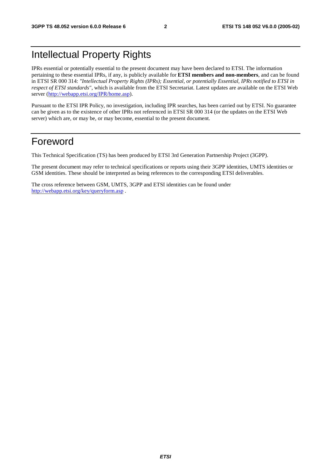### Intellectual Property Rights

IPRs essential or potentially essential to the present document may have been declared to ETSI. The information pertaining to these essential IPRs, if any, is publicly available for **ETSI members and non-members**, and can be found in ETSI SR 000 314: *"Intellectual Property Rights (IPRs); Essential, or potentially Essential, IPRs notified to ETSI in respect of ETSI standards"*, which is available from the ETSI Secretariat. Latest updates are available on the ETSI Web server ([http://webapp.etsi.org/IPR/home.asp\)](http://webapp.etsi.org/IPR/home.asp).

Pursuant to the ETSI IPR Policy, no investigation, including IPR searches, has been carried out by ETSI. No guarantee can be given as to the existence of other IPRs not referenced in ETSI SR 000 314 (or the updates on the ETSI Web server) which are, or may be, or may become, essential to the present document.

### Foreword

This Technical Specification (TS) has been produced by ETSI 3rd Generation Partnership Project (3GPP).

The present document may refer to technical specifications or reports using their 3GPP identities, UMTS identities or GSM identities. These should be interpreted as being references to the corresponding ETSI deliverables.

The cross reference between GSM, UMTS, 3GPP and ETSI identities can be found under <http://webapp.etsi.org/key/queryform.asp>.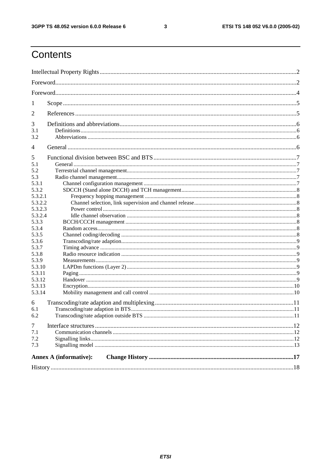$\mathbf{3}$ 

### Contents

| 1                                                                                                                                                                                                     |                               |  |
|-------------------------------------------------------------------------------------------------------------------------------------------------------------------------------------------------------|-------------------------------|--|
| 2                                                                                                                                                                                                     |                               |  |
| 3<br>3.1<br>3.2                                                                                                                                                                                       |                               |  |
| 4                                                                                                                                                                                                     |                               |  |
| 5<br>5.1<br>5.2<br>5.3<br>5.3.1<br>5.3.2<br>5.3.2.1<br>5.3.2.2<br>5.3.2.3<br>5.3.2.4<br>5.3.3<br>5.3.4<br>5.3.5<br>5.3.6<br>5.3.7<br>5.3.8<br>5.3.9<br>5.3.10<br>5.3.11<br>5.3.12<br>5.3.13<br>5.3.14 |                               |  |
| 6<br>6.1<br>6.2                                                                                                                                                                                       |                               |  |
| $\tau$<br>7.1<br>7.2<br>7.3                                                                                                                                                                           |                               |  |
|                                                                                                                                                                                                       | <b>Annex A (informative):</b> |  |
|                                                                                                                                                                                                       |                               |  |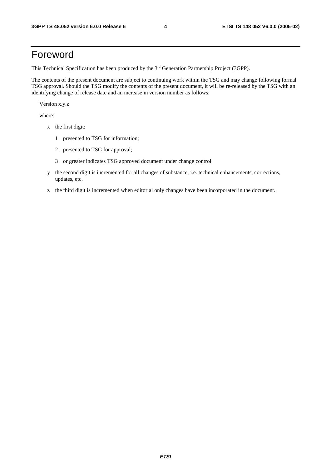### Foreword

This Technical Specification has been produced by the 3<sup>rd</sup> Generation Partnership Project (3GPP).

The contents of the present document are subject to continuing work within the TSG and may change following formal TSG approval. Should the TSG modify the contents of the present document, it will be re-released by the TSG with an identifying change of release date and an increase in version number as follows:

Version x.y.z

where:

- x the first digit:
	- 1 presented to TSG for information;
	- 2 presented to TSG for approval;
	- 3 or greater indicates TSG approved document under change control.
- y the second digit is incremented for all changes of substance, i.e. technical enhancements, corrections, updates, etc.
- z the third digit is incremented when editorial only changes have been incorporated in the document.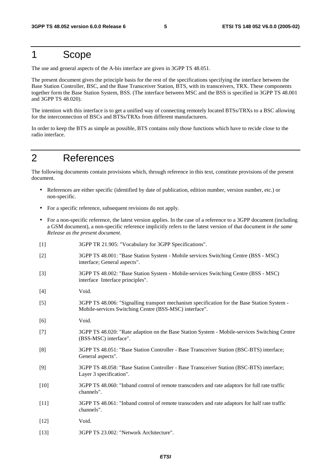### 1 Scope

The use and general aspects of the A-bis interface are given in 3GPP TS 48.051.

The present document gives the principle basis for the rest of the specifications specifying the interface between the Base Station Controller, BSC, and the Base Transceiver Station, BTS, with its transceivers, TRX. These components together form the Base Station System, BSS. (The interface between MSC and the BSS is specified in 3GPP TS 48.001 and 3GPP TS 48.020).

The intention with this interface is to get a unified way of connecting remotely located BTSs/TRXs to a BSC allowing for the interconnection of BSCs and BTSs/TRXs from different manufacturers.

In order to keep the BTS as simple as possible, BTS contains only those functions which have to recide close to the radio interface.

### 2 References

The following documents contain provisions which, through reference in this text, constitute provisions of the present document.

- References are either specific (identified by date of publication, edition number, version number, etc.) or non-specific.
- For a specific reference, subsequent revisions do not apply.
- For a non-specific reference, the latest version applies. In the case of a reference to a 3GPP document (including a GSM document), a non-specific reference implicitly refers to the latest version of that document *in the same Release as the present document*.
- [1] 3GPP TR 21.905: "Vocabulary for 3GPP Specifications".
- [2] 3GPP TS 48.001: "Base Station System Mobile services Switching Centre (BSS MSC) interface; General aspects".
- [3] 3GPP TS 48.002: "Base Station System Mobile-services Switching Centre (BSS MSC) interface Interface principles".
- [4] Void.
- [5] 3GPP TS 48.006: "Signalling transport mechanism specification for the Base Station System Mobile-services Switching Centre (BSS-MSC) interface".
- [6] Void.
- [7] 3GPP TS 48.020: "Rate adaption on the Base Station System Mobile-services Switching Centre (BSS-MSC) interface".
- [8] 3GPP TS 48.051: "Base Station Controller Base Transceiver Station (BSC-BTS) interface; General aspects".
- [9] 3GPP TS 48.058: "Base Station Controller Base Transceiver Station (BSC-BTS) interface; Layer 3 specification".
- [10] 3GPP TS 48.060: "Inband control of remote transcoders and rate adaptors for full rate traffic channels".
- [11] 3GPP TS 48.061: "Inband control of remote transcoders and rate adaptors for half rate traffic channels".
- [12] **Void.**
- [13] 3GPP TS 23.002: "Network Architecture".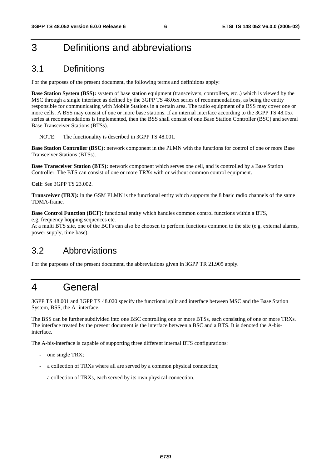### 3 Definitions and abbreviations

### 3.1 Definitions

For the purposes of the present document, the following terms and definitions apply:

**Base Station System (BSS):** system of base station equipment (transceivers, controllers, etc..) which is viewed by the MSC through a single interface as defined by the 3GPP TS 48.0xx series of recommendations, as being the entity responsible for communicating with Mobile Stations in a certain area. The radio equipment of a BSS may cover one or more cells. A BSS may consist of one or more base stations. If an internal interface according to the 3GPP TS 48.05x series at recommendations is implemented, then the BSS shall consist of one Base Station Controller (BSC) and several Base Transceiver Stations (BTSs).

NOTE: The functionality is described in 3GPP TS 48.001.

**Base Station Controller (BSC):** network component in the PLMN with the functions for control of one or more Base Transceiver Stations (BTSs).

**Base Transceiver Station (BTS):** network component which serves one cell, and is controlled by a Base Station Controller. The BTS can consist of one or more TRXs with or without common control equipment.

**Cell:** See 3GPP TS 23.002.

**Transceiver (TRX):** in the GSM PLMN is the functional entity which supports the 8 basic radio channels of the same TDMA-frame.

**Base Control Function (BCF):** functional entity which handles common control functions within a BTS,

e.g. frequency hopping sequences etc.

At a multi BTS site, one of the BCFs can also be choosen to perform functions common to the site (e.g. external alarms, power supply, time base).

#### 3.2 Abbreviations

For the purposes of the present document, the abbreviations given in 3GPP TR 21.905 apply.

### 4 General

3GPP TS 48.001 and 3GPP TS 48.020 specify the functional split and interface between MSC and the Base Station System, BSS, the A- interface.

The BSS can be further subdivided into one BSC controlling one or more BTSs, each consisting of one or more TRXs. The interface treated by the present document is the interface between a BSC and a BTS. It is denoted the A-bisinterface.

The A-bis-interface is capable of supporting three different internal BTS configurations:

- one single TRX;
- a collection of TRXs where all are served by a common physical connection;
- a collection of TRXs, each served by its own physical connection.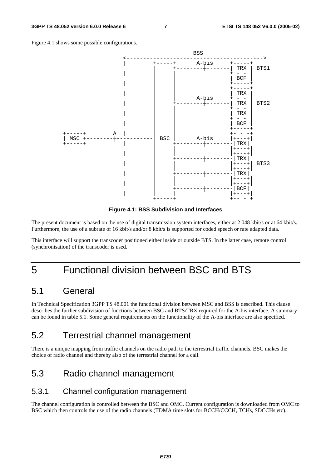Figure 4.1 shows some possible configurations.



**Figure 4.1: BSS Subdivision and Interfaces** 

The present document is based on the use of digital transmission system interfaces, either at 2 048 kbit/s or at 64 kbit/s. Furthermore, the use of a subrate of 16 kbit/s and/or 8 kbit/s is supported for coded speech or rate adapted data.

This interface will support the transcoder positioned either inside or outside BTS. In the latter case, remote control (synchronisation) of the transcoder is used.

### 5 Functional division between BSC and BTS

#### 5.1 General

In Technical Specification 3GPP TS 48.001 the functional division between MSC and BSS is described. This clause describes the further subdivision of functions between BSC and BTS/TRX required for the A-bis interface. A summary can be found in table 5.1. Some general requirements on the functionality of the A-bis interface are also specified.

### 5.2 Terrestrial channel management

There is a unique mapping from traffic channels on the radio path to the terrestrial traffic channels. BSC makes the choice of radio channel and thereby also of the terrestrial channel for a call.

### 5.3 Radio channel management

#### 5.3.1 Channel configuration management

The channel configuration is controlled between the BSC and OMC. Current configuration is downloaded from OMC to BSC which then controls the use of the radio channels (TDMA time slots for BCCH/CCCH, TCHs, SDCCHs etc).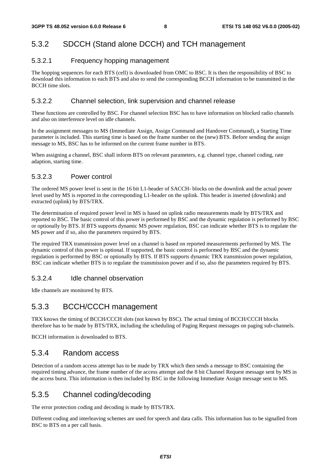#### 5.3.2 SDCCH (Stand alone DCCH) and TCH management

#### 5.3.2.1 Frequency hopping management

The hopping sequences for each BTS (cell) is downloaded from OMC to BSC. It is then the responsibility of BSC to download this information to each BTS and also to send the corresponding BCCH information to be transmitted in the BCCH time slots.

#### 5.3.2.2 Channel selection, link supervision and channel release

These functions are controlled by BSC. For channel selection BSC has to have information on blocked radio channels and also on interference level on idle channels.

In the assignment messages to MS (Immediate Assign, Assign Command and Handover Command), a Starting Time parameter is included. This starting time is based on the frame number on the (new) BTS. Before sending the assign message to MS, BSC has to be informed on the current frame number in BTS.

When assigning a channel, BSC shall inform BTS on relevant parameters, e.g. channel type, channel coding, rate adaption, starting time.

#### 5.3.2.3 Power control

The ordered MS power level is sent in the 16 bit L1-header of SACCH- blocks on the downlink and the actual power level used by MS is reported in the corresponding L1-header on the uplink. This header is inserted (downlink) and extracted (uplink) by BTS/TRX.

The determination of required power level in MS is based on uplink radio measurements made by BTS/TRX and reported to BSC. The basic control of this power is performed by BSC and the dynamic regulation is performed by BSC or optionally by BTS. If BTS supports dynamic MS power regulation, BSC can indicate whether BTS is to regulate the MS power and if so, also the parameters required by BTS.

The required TRX transmission power level on a channel is based on reported measurements performed by MS. The dynamic control of this power is optional. If supported, the basic control is performed by BSC and the dynamic regulation is performed by BSC or optionally by BTS. If BTS supports dynamic TRX transmission power regulation, BSC can indicate whether BTS is to regulate the transmission power and if so, also the parameters required by BTS.

#### 5.3.2.4 Idle channel observation

Idle channels are monitored by BTS.

#### 5.3.3 BCCH/CCCH management

TRX knows the timing of BCCH/CCCH slots (not known by BSC). The actual timing of BCCH/CCCH blocks therefore has to be made by BTS/TRX, including the scheduling of Paging Request messages on paging sub-channels.

BCCH information is downloaded to BTS.

#### 5.3.4 Random access

Detection of a random access attempt has to be made by TRX which then sends a message to BSC containing the required timing advance, the frame number of the access attempt and the 8 bit Channel Request message sent by MS in the access burst. This information is then included by BSC in the following Immediate Assign message sent to MS.

#### 5.3.5 Channel coding/decoding

The error protection coding and decoding is made by BTS/TRX.

Different coding and interleaving schemes are used for speech and data calls. This information has to be signalled from BSC to BTS on a per call basis.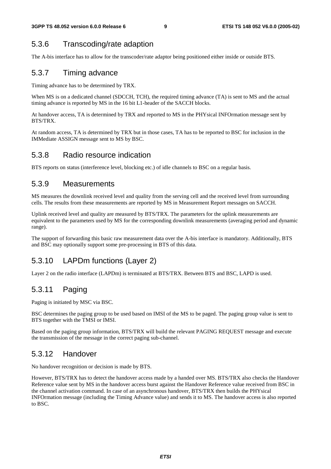#### 5.3.6 Transcoding/rate adaption

The A-bis interface has to allow for the transcoder/rate adaptor being positioned either inside or outside BTS.

#### 5.3.7 Timing advance

Timing advance has to be determined by TRX.

When MS is on a dedicated channel (SDCCH, TCH), the required timing advance (TA) is sent to MS and the actual timing advance is reported by MS in the 16 bit L1-header of the SACCH blocks.

At handover access, TA is determined by TRX and reported to MS in the PHYsical INFOrmation message sent by BTS/TRX.

At random access, TA is determined by TRX but in those cases, TA has to be reported to BSC for inclusion in the IMMediate ASSIGN message sent to MS by BSC.

#### 5.3.8 Radio resource indication

BTS reports on status (interference level, blocking etc.) of idle channels to BSC on a regular basis.

#### 5.3.9 Measurements

MS measures the downlink received level and quality from the serving cell and the received level from surrounding cells. The results from these measurements are reported by MS in Measurement Report messages on SACCH.

Uplink received level and quality are measured by BTS/TRX. The parameters for the uplink measurements are equivalent to the parameters used by MS for the corresponding downlink measurements (averaging period and dynamic range).

The support of forwarding this basic raw measurement data over the A-bis interface is mandatory. Additionally, BTS and BSC may optionally support some pre-processing in BTS of this data.

#### 5.3.10 LAPDm functions (Layer 2)

Layer 2 on the radio interface (LAPDm) is terminated at BTS/TRX. Between BTS and BSC, LAPD is used.

#### 5.3.11 Paging

Paging is initiated by MSC via BSC.

BSC determines the paging group to be used based on IMSI of the MS to be paged. The paging group value is sent to BTS together with the TMSI or IMSI.

Based on the paging group information, BTS/TRX will build the relevant PAGING REQUEST message and execute the transmission of the message in the correct paging sub-channel.

#### 5.3.12 Handover

No handover recognition or decision is made by BTS.

However, BTS/TRX has to detect the handover access made by a handed over MS. BTS/TRX also checks the Handover Reference value sent by MS in the handover access burst against the Handover Reference value received from BSC in the channel activation command. In case of an asynchronous handover, BTS/TRX then builds the PHYsical INFOrmation message (including the Timing Advance value) and sends it to MS. The handover access is also reported to BSC.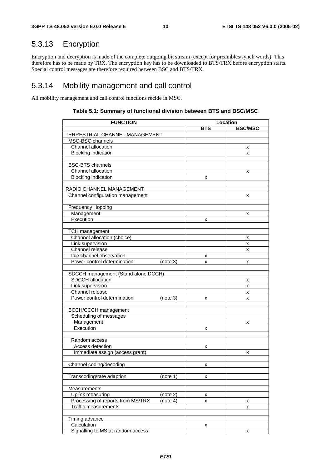### 5.3.13 Encryption

Encryption and decryption is made of the complete outgoing bit stream (except for preambles/synch words). This therefore has to be made by TRX. The encryption key has to be downloaded to BTS/TRX before encryption starts. Special control messages are therefore required between BSC and BTS/TRX.

#### 5.3.14 Mobility management and call control

All mobility management and call control functions recide in MSC.

| <b>FUNCTION</b>                                                   |            | Location       |  |  |
|-------------------------------------------------------------------|------------|----------------|--|--|
|                                                                   | <b>BTS</b> | <b>BSC/MSC</b> |  |  |
| TERRESTRIAL CHANNEL MANAGEMENT                                    |            |                |  |  |
| MSC-BSC channels                                                  |            |                |  |  |
| Channel allocation                                                |            | x              |  |  |
| <b>Blocking indication</b>                                        |            | x              |  |  |
|                                                                   |            |                |  |  |
| <b>BSC-BTS</b> channels                                           |            |                |  |  |
| Channel allocation                                                |            | х              |  |  |
| <b>Blocking indication</b>                                        | x          |                |  |  |
|                                                                   |            |                |  |  |
| RADIO CHANNEL MANAGEMENT                                          |            |                |  |  |
| Channel configuration management                                  |            | x              |  |  |
|                                                                   |            |                |  |  |
| <b>Frequency Hopping</b>                                          |            |                |  |  |
| Management                                                        |            | x              |  |  |
| Execution                                                         | x          |                |  |  |
|                                                                   |            |                |  |  |
| <b>TCH management</b>                                             |            |                |  |  |
| Channel allocation (choice)                                       |            | x              |  |  |
| Link supervision                                                  |            | x              |  |  |
| Channel release                                                   |            | x              |  |  |
| Idle channel observation                                          | x          |                |  |  |
| Power control determination<br>(note 3)                           | x          | x              |  |  |
|                                                                   |            |                |  |  |
| SDCCH management (Stand alone DCCH)                               |            |                |  |  |
| <b>SDCCH</b> allocation                                           |            | х              |  |  |
| Link supervision                                                  |            | x              |  |  |
| Channel release                                                   |            | x              |  |  |
| Power control determination<br>(note 3)                           | x          | x              |  |  |
|                                                                   |            |                |  |  |
| <b>BCCH/CCCH</b> management                                       |            |                |  |  |
| Scheduling of messages                                            |            |                |  |  |
| Management                                                        |            | x              |  |  |
| Execution                                                         | х          |                |  |  |
|                                                                   |            |                |  |  |
| Random access                                                     |            |                |  |  |
| Access detection                                                  | x          |                |  |  |
| Immediate assign (access grant)                                   |            | x              |  |  |
|                                                                   |            |                |  |  |
| Channel coding/decoding                                           | Χ          |                |  |  |
|                                                                   |            |                |  |  |
| Transcoding/rate adaption<br>(note 1)                             | x          |                |  |  |
|                                                                   |            |                |  |  |
| Measurements                                                      |            |                |  |  |
| Uplink measuring<br>(note 2)                                      | x          |                |  |  |
| Processing of reports from MS/TRX<br>$\overline{(\text{note 4})}$ | x          | x              |  |  |
| <b>Traffic measurements</b>                                       |            | x              |  |  |
|                                                                   |            |                |  |  |
| Timing advance                                                    |            |                |  |  |
| Calculation                                                       | x          |                |  |  |
| Signalling to MS at random access                                 |            | x              |  |  |

#### **Table 5.1: Summary of functional division between BTS and BSC/MSC**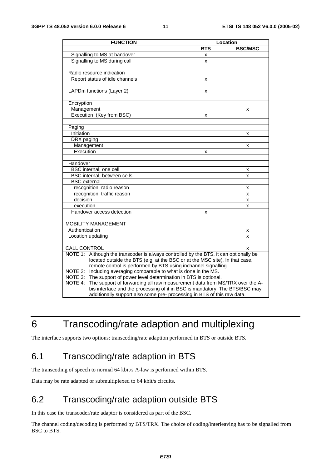| <b>FUNCTION</b>                                                                          | Location   |                |  |
|------------------------------------------------------------------------------------------|------------|----------------|--|
|                                                                                          | <b>BTS</b> | <b>BSC/MSC</b> |  |
| Signalling to MS at handover                                                             | x          |                |  |
| Signalling to MS during call                                                             | x          |                |  |
|                                                                                          |            |                |  |
| Radio resource indication                                                                |            |                |  |
| Report status of idle channels                                                           | x          |                |  |
|                                                                                          |            |                |  |
| LAPDm functions (Layer 2)                                                                | x          |                |  |
|                                                                                          |            |                |  |
| Encryption                                                                               |            |                |  |
| Management                                                                               |            | X              |  |
| Execution (Key from BSC)                                                                 | x          |                |  |
|                                                                                          |            |                |  |
| Paging                                                                                   |            |                |  |
| Initiation                                                                               |            | x              |  |
| DRX paging                                                                               |            |                |  |
| Management                                                                               |            | x              |  |
| Execution                                                                                | x          |                |  |
|                                                                                          |            |                |  |
| Handover                                                                                 |            |                |  |
| BSC internal, one cell                                                                   |            | x              |  |
| BSC internal, between cells                                                              |            | X              |  |
| <b>BSC</b> external                                                                      |            |                |  |
| recognition, radio reason                                                                |            | x              |  |
| recognition, traffic reason                                                              |            | X              |  |
| decision                                                                                 |            | X              |  |
| execution                                                                                |            | x              |  |
| Handover access detection                                                                | x          |                |  |
|                                                                                          |            |                |  |
| <b>MOBILITY MANAGEMENT</b>                                                               |            |                |  |
| Authentication                                                                           |            | х              |  |
| Location updating                                                                        |            | x              |  |
|                                                                                          |            |                |  |
| <b>CALL CONTROL</b>                                                                      |            | X              |  |
| Although the transcoder is always controlled by the BTS, it can optionally be<br>NOTE 1: |            |                |  |
| located outside the BTS (e.g. at the BSC or at the MSC site). In that case,              |            |                |  |
| remote control is performed by BTS using inchannel signalling.                           |            |                |  |
| Including averaging comparable to what is done in the MS.<br>NOTE 2:                     |            |                |  |
| The support of power level determination in BTS is optional.<br>NOTE 3:                  |            |                |  |
| The support of forwarding all raw measurement data from MS/TRX over the A-<br>NOTE 4:    |            |                |  |
| bis interface and the processing of it in BSC is mandatory. The BTS/BSC may              |            |                |  |
| additionally support also some pre- processing in BTS of this raw data.                  |            |                |  |

### 6 Transcoding/rate adaption and multiplexing

The interface supports two options: transcoding/rate adaption performed in BTS or outside BTS.

### 6.1 Transcoding/rate adaption in BTS

The transcoding of speech to normal 64 kbit/s A-law is performed within BTS.

Data may be rate adapted or submultiplexed to 64 kbit/s circuits.

### 6.2 Transcoding/rate adaption outside BTS

In this case the transcoder/rate adaptor is considered as part of the BSC.

The channel coding/decoding is performed by BTS/TRX. The choice of coding/interleaving has to be signalled from BSC to BTS.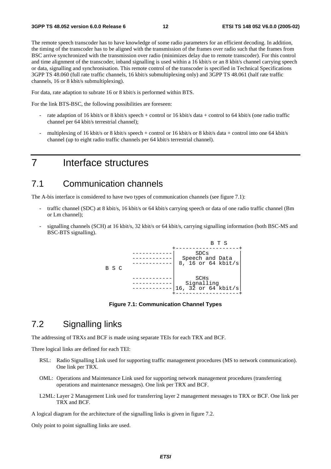The remote speech transcoder has to have knowledge of some radio parameters for an efficient decoding. In addition, the timing of the transcoder has to be aligned with the transmission of the frames over radio such that the frames from BSC arrive synchronized with the transmission over radio (minimizes delay due to remote transcoder). For this control and time alignment of the transcoder, inband signalling is used within a 16 kbit/s or an 8 kbit/s channel carrying speech or data, signalling and synchronisation. This remote control of the transcoder is specified in Technical Specifications 3GPP TS 48.060 (full rate traffic channels, 16 kbit/s submultiplexing only) and 3GPP TS 48.061 (half rate traffic channels, 16 or 8 kbit/s submultiplexing).

For data, rate adaption to subrate 16 or 8 kbit/s is performed within BTS.

For the link BTS-BSC, the following possibilities are foreseen:

- rate adaption of 16 kbit/s or 8 kbit/s speech + control or 16 kbit/s data + control to 64 kbit/s (one radio traffic channel per 64 kbit/s terrestrial channel);
- multiplexing of 16 kbit/s or 8 kbit/s speech + control or 16 kbit/s or 8 kbit/s data + control into one 64 kbit/s channel (up to eight radio traffic channels per 64 kbit/s terrestrial channel).

### 7 Interface structures

#### 7.1 Communication channels

The A-bis interface is considered to have two types of communication channels (see figure 7.1):

- traffic channel (SDC) at 8 kbit/s, 16 kbit/s or 64 kbit/s carrying speech or data of one radio traffic channel (Bm or Lm channel);
- signalling channels (SCH) at 16 kbit/s, 32 kbit/s or 64 kbit/s, carrying signalling information (both BSC-MS and BSC-BTS signalling).



**Figure 7.1: Communication Channel Types** 

#### 7.2 Signalling links

The addressing of TRXs and BCF is made using separate TEIs for each TRX and BCF.

Three logical links are defined for each TEI:

- RSL: Radio Signalling Link used for supporting traffic management procedures (MS to network communication). One link per TRX.
- OML: Operations and Maintenance Link used for supporting network management procedures (transferring operations and maintenance messages). One link per TRX and BCF.
- L2ML: Layer 2 Management Link used for transferring layer 2 management messages to TRX or BCF. One link per TRX and BCF.

A logical diagram for the architecture of the signalling links is given in figure 7.2.

Only point to point signalling links are used.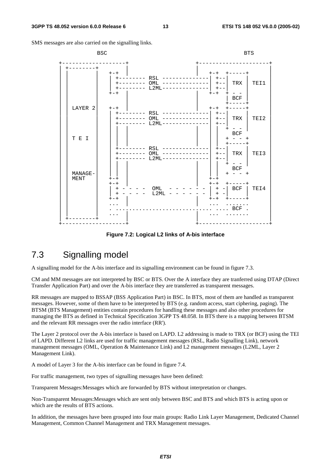SMS messages are also carried on the signalling links.



**Figure 7.2: Logical L2 links of A-bis interface** 

### 7.3 Signalling model

A signalling model for the A-bis interface and its signalling environment can be found in figure 7.3.

CM and MM messages are not interpreted by BSC or BTS. Over the A interface they are tranferred using DTAP (Direct Transfer Application Part) and over the A-bis interface they are transferred as transparent messages.

RR messages are mapped to BSSAP (BSS Application Part) in BSC. In BTS, most of them are handled as transparent messages. However, some of them have to be interpreted by BTS (e.g. random access, start ciphering, paging). The BTSM (BTS Management) entities contain procedures for handling these messages and also other procedures for managing the BTS as defined in Technical Specification 3GPP TS 48.058. In BTS there is a mapping between BTSM and the relevant RR messages over the radio interface (RR').

The Layer 2 protocol over the A-bis interface is based on LAPD. L2 addressing is made to TRX (or BCF) using the TEI of LAPD. Different L2 links are used for traffic management messages (RSL, Radio Signalling Link), network management messages (OML, Operation & Maintenance Link) and L2 management messages (L2ML, Layer 2 Management Link).

A model of Layer 3 for the A-bis interface can be found in figure 7.4.

For traffic management, two types of signalling messages have been defined:

Transparent Messages:Messages which are forwarded by BTS without interpretation or changes.

Non-Transparent Messages:Messages which are sent only between BSC and BTS and which BTS is acting upon or which are the results of BTS actions.

In addition, the messages have been grouped into four main groups: Radio Link Layer Management, Dedicated Channel Management, Common Channel Management and TRX Management messages.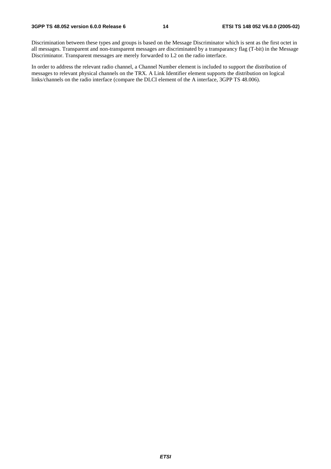Discrimination between these types and groups is based on the Message Discriminator which is sent as the first octet in all messages. Transparent and non-transparent messages are discriminated by a transparancy flag (T-bit) in the Message Discriminator. Transparent messages are merely forwarded to L2 on the radio interface.

In order to address the relevant radio channel, a Channel Number element is included to support the distribution of messages to relevant physical channels on the TRX. A Link Identifier element supports the distribution on logical links/channels on the radio interface (compare the DLCI element of the A interface, 3GPP TS 48.006).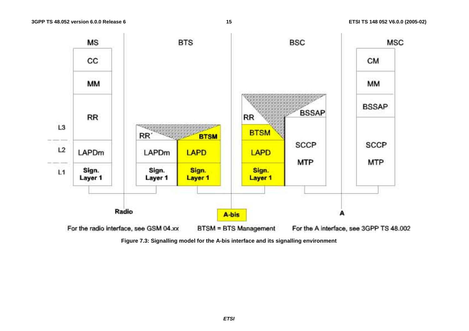

**Figure 7.3: Signalling model for the A-bis interface and its signalling environment**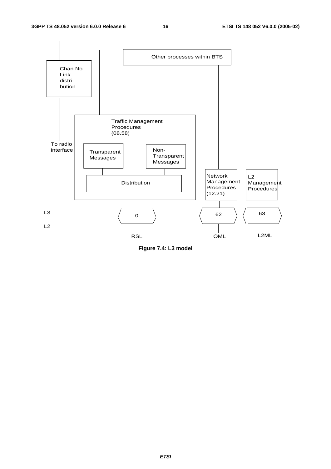

**Figure 7.4: L3 model**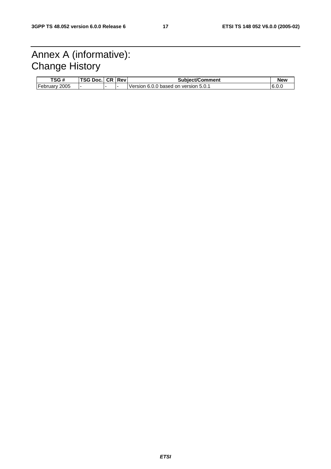### Annex A (informative): Change History

| TSG #            | <b>TSG D</b><br>DOC. | C <sub>R</sub> | <b>Rev</b> | <b>Subiect/Comment</b>                  | <b>New</b> |
|------------------|----------------------|----------------|------------|-----------------------------------------|------------|
| February<br>2005 |                      |                |            | 6.0.0 based on version 5.0.1<br>Version | 6.0.0      |